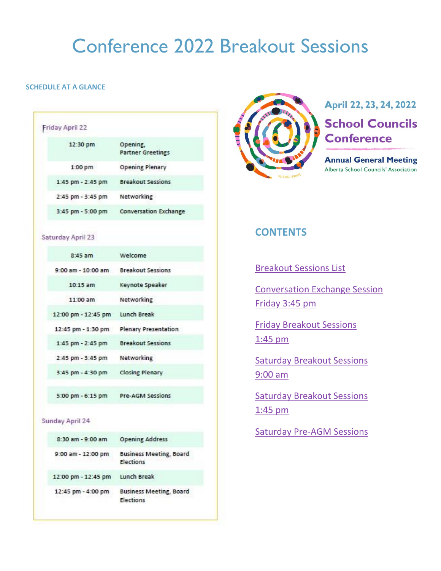# Conference 2022 Breakout Sessions

## <span id="page-0-0"></span>**SCHEDULE AT A GLANCE**

| Friday April 22   |                                      |
|-------------------|--------------------------------------|
| 12:30 pm          | Opening,<br><b>Partner Greetings</b> |
| 1:00 pm           | <b>Opening Plenary</b>               |
| 1:45 pm - 2:45 pm | <b>Breakout Sessions</b>             |
| 2:45 pm - 3:45 pm | Networking                           |
| 3:45 pm - 5:00 pm | <b>Conversation Exchange</b>         |

#### Saturday April 23

| $8:45$ am            | Welcome                  |
|----------------------|--------------------------|
| 9:00 am - 10:00 am   | <b>Breakout Sessions</b> |
| 10:15 am             | Keynote Speaker          |
| 11:00 am             | Networking               |
| 12:00 pm - 12:45 pm  | Lunch Break              |
| 12:45 pm - 1:30 pm   | Plenary Presentation     |
| 1:45 pm - 2:45 pm    | <b>Breakout Sessions</b> |
| 2:45 pm - 3:45 pm    | Networking               |
| 3:45 pm - 4:30 pm    | <b>Closing Plenary</b>   |
| $5:00$ pm $-6:15$ pm | Pre-AGM Sessions         |

#### Sunday April 24

| 8:30 am - 9:00 am   | <b>Opening Address</b>                      |
|---------------------|---------------------------------------------|
| 9:00 am - 12:00 pm  | <b>Business Meeting, Board</b><br>Elections |
| 12:00 pm - 12:45 pm | Lunch Break                                 |
| 12:45 pm - 4:00 pm  | <b>Business Meeting, Board</b><br>Elections |



# April 22, 23, 24, 2022 **School Councils Conference**

**Annual General Meeting** Alberta School Councils' Association

# **CONTENTS**

[Breakout Sessions List](#page-1-0)

[Conversation Exchange Session](#page-2-0) [Friday 3:45 pm](#page-2-0)

[Friday Breakout Sessions](#page-2-1)  [1:45](#page-2-1) pm

[Saturday Breakout Sessions](#page-5-0)  [9:00 am](#page-5-0)

[Saturday Breakout Sessions](#page-7-0)  [1:45](#page-7-0) pm

[Saturday Pre-AGM Sessions](#page-10-0)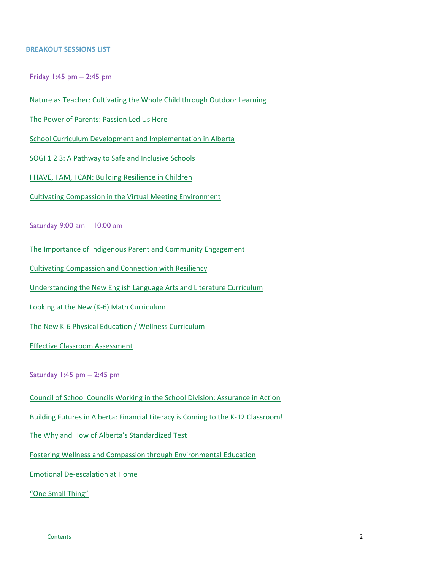#### <span id="page-1-0"></span>**BREAKOUT SESSIONS LIST**

Friday 1:45 pm – 2:45 pm

[Nature as Teacher: Cultivating the Whole Child through Outdoor Learning](#page-2-2)

[The Power of Parents: Passion Led Us Here](#page-2-3)

[School Curriculum Development and Implementation in Alberta](#page-3-0)

[SOGI 1 2 3: A Pathway to Safe and Inclusive Schools](#page-3-1)

[I HAVE, I AM, I CAN: Building Resilience in Children](#page-4-0)

[Cultivating Compassion in the Virtual Meeting Environment](#page-4-1)

Saturday 9:00 am – 10:00 am

[The Importance of Indigenous Parent and Community Engagement](#page-5-1)

[Cultivating Compassion and Connection with Resiliency](#page-5-2)

[Understanding the New English Language Arts and Literature Curriculum](#page-6-0)

[Looking at the New \(K-6\) Math Curriculum](#page-6-1)

[The New K-6 Physical Education /](#page-6-2) Wellness Curriculum

Effective [Classroom Assessment](#page-7-1)

Saturday 1:45 pm – 2:45 pm

[Council of School Councils Working in the School Division: Assurance in Action](#page-7-2)

[Building Futures in Alberta: Financial Literacy is Coming to the K-12 Classroom!](#page-7-3)

[The Why and How of Alberta's Standardized Test](#page-8-0)

Fostering Wellness and Compassion through [Environmental Education](#page-8-1)

[Emotional De-escalation at Home](#page-9-0)

["One Small Thing"](#page-9-1)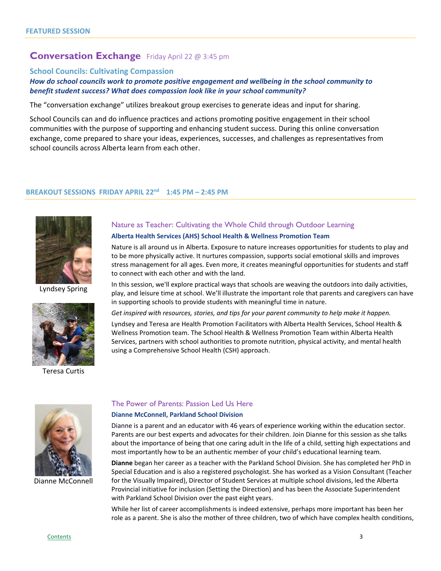# <span id="page-2-0"></span>**Conversation Exchange** Friday April 22 @ 3:45 pm

#### **School Councils: Cultivating Compassion**

### *How do school councils work to promote positive engagement and wellbeing in the school community to benefit student success? What does compassion look like in your school community?*

The "conversation exchange" utilizes breakout group exercises to generate ideas and input for sharing.

School Councils can and do influence practices and actions promoting positive engagement in their school communities with the purpose of supporting and enhancing student success. During this online conversation exchange, come prepared to share your ideas, experiences, successes, and challenges as representatives from school councils across Alberta learn from each other.

#### <span id="page-2-1"></span>**BREAKOUT SESSIONS FRIDAY APRIL 22nd 1:45 PM – 2:45 PM**



Lyndsey Spring



Teresa Curtis

# <span id="page-2-2"></span>Nature as Teacher: Cultivating the Whole Child through Outdoor Learning

#### **Alberta Health Services (AHS) School Health & Wellness Promotion Team**

Nature is all around us in Alberta. Exposure to nature increases opportunities for students to play and to be more physically active. It nurtures compassion, supports social emotional skills and improves stress management for all ages. Even more, it creates meaningful opportunities for students and staff to connect with each other and with the land.

In this session, we'll explore practical ways that schools are weaving the outdoors into daily activities, play, and leisure time at school. We'll illustrate the important role that parents and caregivers can have in supporting schools to provide students with meaningful time in nature.

*Get inspired with resources, stories, and tips for your parent community to help make it happen.*

Lyndsey and Teresa are Health Promotion Facilitators with Alberta Health Services, School Health & Wellness Promotion team. The School Health & Wellness Promotion Team within Alberta Health Services, partners with school authorities to promote nutrition, physical activity, and mental health using a Comprehensive School Health (CSH) approach.



Dianne McConnell

#### <span id="page-2-3"></span>The Power of Parents: Passion Led Us Here

#### **Dianne McConnell, Parkland School Division**

Dianne is a parent and an educator with 46 years of experience working within the education sector. Parents are our best experts and advocates for their children. Join Dianne for this session as she talks about the importance of being that one caring adult in the life of a child, setting high expectations and most importantly how to be an authentic member of your child's educational learning team.

**Dianne** began her career as a teacher with the Parkland School Division. She has completed her PhD in Special Education and is also a registered psychologist. She has worked as a Vision Consultant (Teacher for the Visually Impaired), Director of Student Services at multiple school divisions, led the Alberta Provincial initiative for inclusion (Setting the Direction) and has been the Associate Superintendent with Parkland School Division over the past eight years.

While her list of career accomplishments is indeed extensive, perhaps more important has been her role as a parent. She is also the mother of three children, two of which have complex health conditions,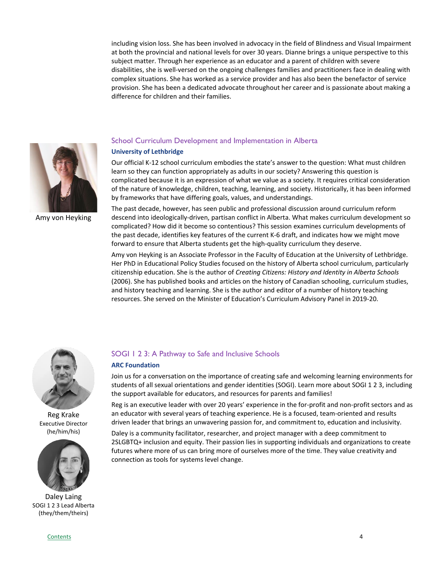including vision loss. She has been involved in advocacy in the field of Blindness and Visual Impairment at both the provincial and national levels for over 30 years. Dianne brings a unique perspective to this subject matter. Through her experience as an educator and a parent of children with severe disabilities, she is well-versed on the ongoing challenges families and practitioners face in dealing with complex situations. She has worked as a service provider and has also been the benefactor of service provision. She has been a dedicated advocate throughout her career and is passionate about making a difference for children and their families.



Amy von Heyking

# <span id="page-3-0"></span>School Curriculum Development and Implementation in Alberta

#### **University of Lethbridge**

Our official K-12 school curriculum embodies the state's answer to the question: What must children learn so they can function appropriately as adults in our society? Answering this question is complicated because it is an expression of what we value as a society. It requires critical consideration of the nature of knowledge, children, teaching, learning, and society. Historically, it has been informed by frameworks that have differing goals, values, and understandings.

The past decade, however, has seen public and professional discussion around curriculum reform descend into ideologically-driven, partisan conflict in Alberta. What makes curriculum development so complicated? How did it become so contentious? This session examines curriculum developments of the past decade, identifies key features of the current K-6 draft, and indicates how we might move forward to ensure that Alberta students get the high-quality curriculum they deserve.

Amy von Heyking is an Associate Professor in the Faculty of Education at the University of Lethbridge. Her PhD in Educational Policy Studies focused on the history of Alberta school curriculum, particularly citizenship education. She is the author of *Creating Citizens: History and Identity in Alberta Schools* (2006). She has published books and articles on the history of Canadian schooling, curriculum studies, and history teaching and learning. She is the author and editor of a number of history teaching resources. She served on the Minister of Education's Curriculum Advisory Panel in 2019-20.



Reg Krake Executive Director (he/him/his)



Daley Laing SOGI 1 2 3 Lead Alberta (they/them/theirs)

#### <span id="page-3-1"></span>SOGI 1 2 3: A Pathway to Safe and Inclusive Schools

#### **ARC Foundation**

Join us for a conversation on the importance of creating safe and welcoming learning environments for students of all sexual orientations and gender identities (SOGI). Learn more about SOGI 1 2 3, including the support available for educators, and resources for parents and families!

Reg is an executive leader with over 20 years' experience in the for-profit and non-profit sectors and as an educator with several years of teaching experience. He is a focused, team-oriented and results driven leader that brings an unwavering passion for, and commitment to, education and inclusivity.

Daley is a community facilitator, researcher, and project manager with a deep commitment to 2SLGBTQ+ inclusion and equity. Their passion lies in supporting individuals and organizations to create futures where more of us can bring more of ourselves more of the time. They value creativity and connection as tools for systems level change.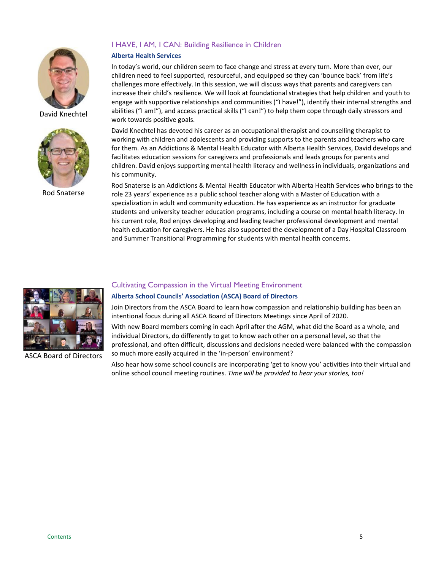

David Knechtel



Rod Snaterse

# <span id="page-4-0"></span>I HAVE, I AM, I CAN: Building Resilience in Children

#### **Alberta Health Services**

In today's world, our children seem to face change and stress at every turn. More than ever, our children need to feel supported, resourceful, and equipped so they can 'bounce back' from life's challenges more effectively. In this session, we will discuss ways that parents and caregivers can increase their child's resilience. We will look at foundational strategies that help children and youth to engage with supportive relationships and communities ("I have!"), identify their internal strengths and abilities ("I am!"), and access practical skills ("I can!") to help them cope through daily stressors and work towards positive goals.

David Knechtel has devoted his career as an occupational therapist and counselling therapist to working with children and adolescents and providing supports to the parents and teachers who care for them. As an Addictions & Mental Health Educator with Alberta Health Services, David develops and facilitates education sessions for caregivers and professionals and leads groups for parents and children. David enjoys supporting mental health literacy and wellness in individuals, organizations and his community.

Rod Snaterse is an Addictions & Mental Health Educator with Alberta Health Services who brings to the role 23 years' experience as a public school teacher along with a Master of Education with a specialization in adult and community education. He has experience as an instructor for graduate students and university teacher education programs, including a course on mental health literacy. In his current role, Rod enjoys developing and leading teacher professional development and mental health education for caregivers. He has also supported the development of a Day Hospital Classroom and Summer Transitional Programming for students with mental health concerns.



ASCA Board of Directors

### <span id="page-4-1"></span>Cultivating Compassion in the Virtual Meeting Environment

#### **Alberta School Councils' Association (ASCA) Board of Directors**

Join Directors from the ASCA Board to learn how compassion and relationship building has been an intentional focus during all ASCA Board of Directors Meetings since April of 2020.

With new Board members coming in each April after the AGM, what did the Board as a whole, and individual Directors, do differently to get to know each other on a personal level, so that the professional, and often difficult, discussions and decisions needed were balanced with the compassion so much more easily acquired in the 'in-person' environment?

Also hear how some school councils are incorporating 'get to know you' activities into their virtual and online school council meeting routines. *Time will be provided to hear your stories, too!*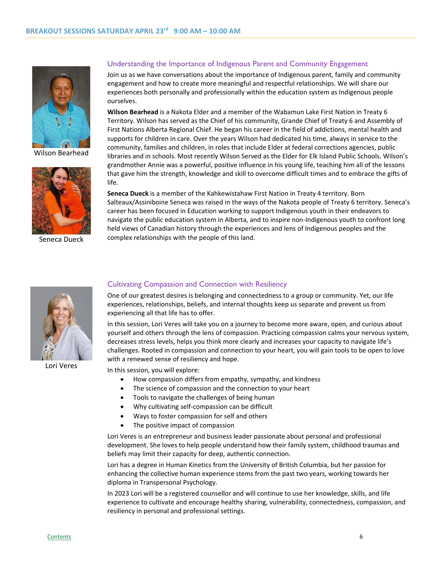

Wilson Bearhead



Seneca Dueck

#### <span id="page-5-1"></span><span id="page-5-0"></span>Understanding the Importance of Indigenous Parent and Community Engagement

Join us as we have conversations about the importance of Indigenous parent, family and community engagement and how to create more meaningful and respectful relationships. We will share our experiences both personally and professionally within the education system as Indigenous people ourselves.

**Wilson Bearhead** is a Nakota Elder and a member of the Wabamun Lake First Nation in Treaty 6 Territory. Wilson has served as the Chief of his community, Grande Chief of Treaty 6 and Assembly of First Nations Alberta Regional Chief. He began his career in the field of addictions, mental health and supports for children in care. Over the years Wilson had dedicated his time, always in service to the community, families and children, in roles that include Elder at federal corrections agencies, public libraries and in schools. Most recently Wilson Served as the Elder for Elk Island Public Schools. Wilson's grandmother Annie was a powerful, positive influence in his young life, teaching him all of the lessons that gave him the strength, knowledge and skill to overcome difficult times and to embrace the gifts of life.

**Seneca Dueck** is a member of the Kahkewistahaw First Nation in Treaty 4 territory. Born Salteaux/Assiniboine Seneca was raised in the ways of the Nakota people of Treaty 6 territory. Seneca's career has been focused in Education working to support Indigenous youth in their endeavors to navigate the public education system in Alberta, and to inspire non-Indigenous youth to confront long held views of Canadian history through the experiences and lens of Indigenous peoples and the complex relationships with the people of this land.



Lori Veres

#### <span id="page-5-2"></span>Cultivating Compassion and Connection with Resiliency

One of our greatest desires is belonging and connectedness to a group or community. Yet, our life experiences, relationships, beliefs, and internal thoughts keep us separate and prevent us from experiencing all that life has to offer.

In this session, Lori Veres will take you on a journey to become more aware, open, and curious about yourself and others through the lens of compassion. Practicing compassion calms your nervous system, decreases stress levels, helps you think more clearly and increases your capacity to navigate life's challenges. Rooted in compassion and connection to your heart, you will gain tools to be open to love with a renewed sense of resiliency and hope.

In this session, you will explore:

- How compassion differs from empathy, sympathy, and kindness
- The science of compassion and the connection to your heart
- Tools to navigate the challenges of being human
- Why cultivating self-compassion can be difficult
- Ways to foster compassion for self and others
- The positive impact of compassion

Lori Veres is an entrepreneur and business leader passionate about personal and professional development. She loves to help people understand how their family system, childhood traumas and beliefs may limit their capacity for deep, authentic connection.

Lori has a degree in Human Kinetics from the University of British Columbia, but her passion for enhancing the collective human experience stems from the past two years, working towards her diploma in Transpersonal Psychology.

In 2023 Lori will be a registered counsellor and will continue to use her knowledge, skills, and life experience to cultivate and encourage healthy sharing, vulnerability, connectedness, compassion, and resiliency in personal and professional settings.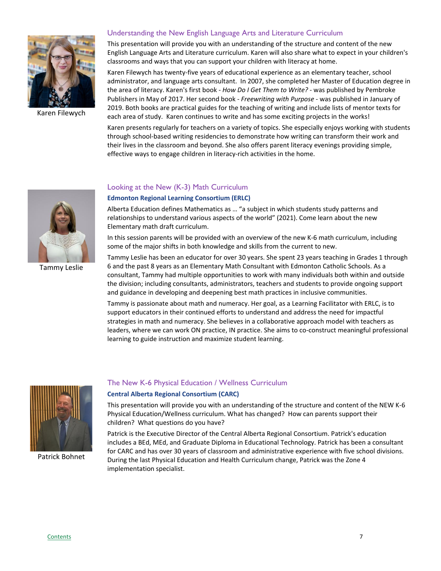

Karen Filewych

#### <span id="page-6-0"></span>Understanding the New English Language Arts and Literature Curriculum

This presentation will provide you with an understanding of the structure and content of the new English Language Arts and Literature curriculum. Karen will also share what to expect in your children's classrooms and ways that you can support your children with literacy at home.

Karen Filewych has twenty-five years of educational experience as an elementary teacher, school administrator, and language arts consultant. In 2007, she completed her Master of Education degree in the area of literacy. Karen's first book - *How Do I Get Them to Write?* - was published by Pembroke Publishers in May of 2017. Her second book - *Freewriting with Purpose* - was published in January of 2019. Both books are practical guides for the teaching of writing and include lists of mentor texts for each area of study. Karen continues to write and has some exciting projects in the works!

Karen presents regularly for teachers on a variety of topics. She especially enjoys working with students through school-based writing residencies to demonstrate how writing can transform their work and their lives in the classroom and beyond. She also offers parent literacy evenings providing simple, effective ways to engage children in literacy-rich activities in the home.



Tammy Leslie

#### <span id="page-6-1"></span>Looking at the New (K-3) Math Curriculum

#### **Edmonton Regional Learning Consortium (ERLC)**

Alberta Education defines Mathematics as … "a subject in which students study patterns and relationships to understand various aspects of the world" (2021). Come learn about the new Elementary math draft curriculum.

In this session parents will be provided with an overview of the new K-6 math curriculum, including some of the major shifts in both knowledge and skills from the current to new.

Tammy Leslie has been an educator for over 30 years. She spent 23 years teaching in Grades 1 through 6 and the past 8 years as an Elementary Math Consultant with Edmonton Catholic Schools. As a consultant, Tammy had multiple opportunities to work with many individuals both within and outside the division; including consultants, administrators, teachers and students to provide ongoing support and guidance in developing and deepening best math practices in inclusive communities.

Tammy is passionate about math and numeracy. Her goal, as a Learning Facilitator with ERLC, is to support educators in their continued efforts to understand and address the need for impactful strategies in math and numeracy. She believes in a collaborative approach model with teachers as leaders, where we can work ON practice, IN practice. She aims to co-construct meaningful professional learning to guide instruction and maximize student learning.



Patrick Bohnet

#### <span id="page-6-2"></span>The New K-6 Physical Education / Wellness Curriculum

#### **Central Alberta Regional Consortium (CARC)**

This presentation will provide you with an understanding of the structure and content of the NEW K-6 Physical Education/Wellness curriculum. What has changed? How can parents support their children? What questions do you have?

Patrick is the Executive Director of the Central Alberta Regional Consortium. Patrick's education includes a BEd, MEd, and Graduate Diploma in Educational Technology. Patrick has been a consultant for CARC and has over 30 years of classroom and administrative experience with five school divisions. During the last Physical Education and Health Curriculum change, Patrick was the Zone 4 implementation specialist.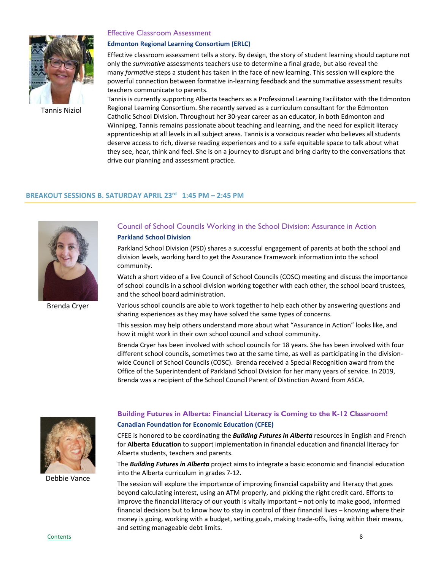

Tannis Niziol

#### <span id="page-7-1"></span>Effective Classroom Assessment

#### **Edmonton Regional Learning Consortium (ERLC)**

Effective classroom assessment tells a story. By design, the story of student learning should capture not only the *summative* assessments teachers use to determine a final grade, but also reveal the many *formative* steps a student has taken in the face of new learning. This session will explore the powerful connection between formative in-learning feedback and the summative assessment results teachers communicate to parents.

Tannis is currently supporting Alberta teachers as a Professional Learning Facilitator with the Edmonton Regional Learning Consortium. She recently served as a curriculum consultant for the Edmonton Catholic School Division. Throughout her 30-year career as an educator, in both Edmonton and Winnipeg, Tannis remains passionate about teaching and learning, and the need for explicit literacy apprenticeship at all levels in all subject areas. Tannis is a voracious reader who believes all students deserve access to rich, diverse reading experiences and to a safe equitable space to talk about what they see, hear, think and feel. She is on a journey to disrupt and bring clarity to the conversations that drive our planning and assessment practice.

# **BREAKOUT SESSIONS B. SATURDAY APRIL 23rd 1:45 PM – 2:45 PM**

<span id="page-7-0"></span>

Brenda Cryer

# <span id="page-7-2"></span>Council of School Councils Working in the School Division: Assurance in Action **Parkland School Division**

Parkland School Division (PSD) shares a successful engagement of parents at both the school and division levels, working hard to get the Assurance Framework information into the school community.

Watch a short video of a live Council of School Councils (COSC) meeting and discuss the importance of school councils in a school division working together with each other, the school board trustees, and the school board administration.

Various school councils are able to work together to help each other by answering questions and sharing experiences as they may have solved the same types of concerns.

This session may help others understand more about what "Assurance in Action" looks like, and how it might work in their own school council and school community.

Brenda Cryer has been involved with school councils for 18 years. She has been involved with four different school councils, sometimes two at the same time, as well as participating in the divisionwide Council of School Councils (COSC). Brenda received a Special Recognition award from the Office of the Superintendent of Parkland School Division for her many years of service. In 2019, Brenda was a recipient of the School Council Parent of Distinction Award from ASCA.



Debbie Vance

# <span id="page-7-3"></span>**Building Futures in Alberta: Financial Literacy is Coming to the K-12 Classroom! Canadian Foundation for Economic Education (CFEE)**

CFEE is honored to be coordinating the *Building Futures in Alberta* resources in English and French for **Alberta Education** to support implementation in financial education and financial literacy for Alberta students, teachers and parents.

The *Building Futures in Alberta* project aims to integrate a basic economic and financial education into the Alberta curriculum in grades 7-12.

The session will explore the importance of improving financial capability and literacy that goes beyond calculating interest, using an ATM properly, and picking the right credit card. Efforts to improve the financial literacy of our youth is vitally important – not only to make good, informed financial decisions but to know how to stay in control of their financial lives – knowing where their money is going, working with a budget, setting goals, making trade-offs, living within their means, and setting manageable debt limits.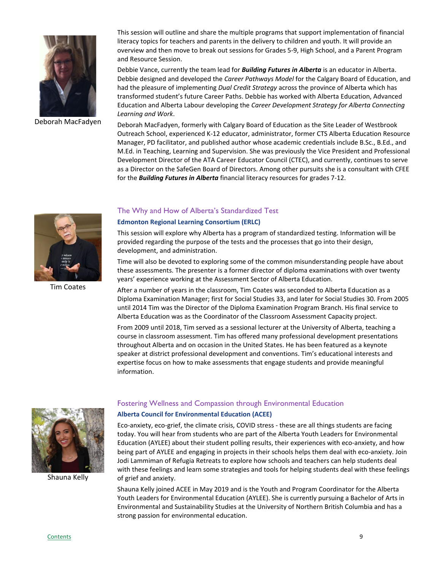

Deborah MacFadyen

This session will outline and share the multiple programs that support implementation of financial literacy topics for teachers and parents in the delivery to children and youth. It will provide an overview and then move to break out sessions for Grades 5-9, High School, and a Parent Program and Resource Session.

Debbie Vance, currently the team lead for *Building Futures in Alberta* is an educator in Alberta. Debbie designed and developed the *Career Pathways Model* for the Calgary Board of Education, and had the pleasure of implementing *Dual Credit Strategy* across the province of Alberta which has transformed student's future Career Paths. Debbie has worked with Alberta Education, Advanced Education and Alberta Labour developing the *Career Development Strategy for Alberta Connecting Learning and Work*.

Deborah MacFadyen, formerly with Calgary Board of Education as the Site Leader of Westbrook Outreach School, experienced K-12 educator, administrator, former CTS Alberta Education Resource Manager, PD facilitator, and published author whose academic credentials include B.Sc., B.Ed., and M.Ed. in Teaching, Learning and Supervision. She was previously the Vice President and Professional Development Director of the ATA Career Educator Council (CTEC), and currently, continues to serve as a Director on the SafeGen Board of Directors. Among other pursuits she is a consultant with CFEE for the *Building Futures in Alberta* financial literacy resources for grades 7-12.



Tim Coates

#### <span id="page-8-0"></span>The Why and How of Alberta's Standardized Test

#### **Edmonton Regional Learning Consortium (ERLC)**

This session will explore why Alberta has a program of standardized testing. Information will be provided regarding the purpose of the tests and the processes that go into their design, development, and administration.

Time will also be devoted to exploring some of the common misunderstanding people have about these assessments. The presenter is a former director of diploma examinations with over twenty years' experience working at the Assessment Sector of Alberta Education.

After a number of years in the classroom, Tim Coates was seconded to Alberta Education as a Diploma Examination Manager; first for Social Studies 33, and later for Social Studies 30. From 2005 until 2014 Tim was the Director of the Diploma Examination Program Branch. His final service to Alberta Education was as the Coordinator of the Classroom Assessment Capacity project.

From 2009 until 2018, Tim served as a sessional lecturer at the University of Alberta, teaching a course in classroom assessment. Tim has offered many professional development presentations throughout Alberta and on occasion in the United States. He has been featured as a keynote speaker at district professional development and conventions. Tim's educational interests and expertise focus on how to make assessments that engage students and provide meaningful information.



Shauna Kelly

# <span id="page-8-1"></span>Fostering Wellness and Compassion through Environmental Education

#### **Alberta Council for Environmental Education (ACEE)**

Eco-anxiety, eco-grief, the climate crisis, COVID stress - these are all things students are facing today. You will hear from students who are part of the Alberta Youth Leaders for Environmental Education (AYLEE) about their student polling results, their experiences with eco-anxiety, and how being part of AYLEE and engaging in projects in their schools helps them deal with eco-anxiety. Join Jodi Lammiman of Refugia Retreats to explore how schools and teachers can help students deal with these feelings and learn some strategies and tools for helping students deal with these feelings of grief and anxiety.

Shauna Kelly joined ACEE in May 2019 and is the Youth and Program Coordinator for the Alberta Youth Leaders for Environmental Education (AYLEE). She is currently pursuing a Bachelor of Arts in Environmental and Sustainability Studies at the University of Northern British Columbia and has a strong passion for environmental education.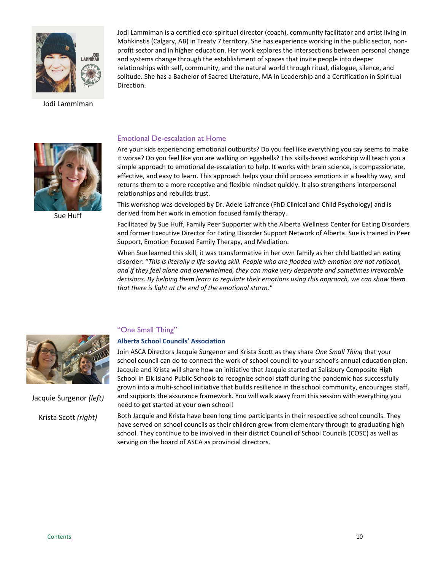

Jodi Lammiman

Jodi Lammiman is a certified eco-spiritual director (coach), community facilitator and artist living in Mohkinstis (Calgary, AB) in Treaty 7 territory. She has experience working in the public sector, nonprofit sector and in higher education. Her work explores the intersections between personal change and systems change through the establishment of spaces that invite people into deeper relationships with self, community, and the natural world through ritual, dialogue, silence, and solitude. She has a Bachelor of Sacred Literature, MA in Leadership and a Certification in Spiritual Direction.



Sue Huff

#### <span id="page-9-0"></span>Emotional De-escalation at Home

Are your kids experiencing emotional outbursts? Do you feel like everything you say seems to make it worse? Do you feel like you are walking on eggshells? This skills-based workshop will teach you a simple approach to emotional de-escalation to help. It works with brain science, is compassionate, effective, and easy to learn. This approach helps your child process emotions in a healthy way, and returns them to a more receptive and flexible mindset quickly. It also strengthens interpersonal relationships and rebuilds trust.

This workshop was developed by Dr. Adele Lafrance (PhD Clinical and Child Psychology) and is derived from her work in emotion focused family therapy.

Facilitated by Sue Huff, Family Peer Supporter with the Alberta Wellness Center for Eating Disorders and former Executive Director for Eating Disorder Support Network of Alberta. Sue is trained in Peer Support, Emotion Focused Family Therapy, and Mediation.

When Sue learned this skill, it was transformative in her own family as her child battled an eating disorder: "*This is literally a life-saving skill. People who are flooded with emotion are not rational, and if they feel alone and overwhelmed, they can make very desperate and sometimes irrevocable decisions. By helping them learn to regulate their emotions using this approach, we can show them that there is light at the end of the emotional storm."*



Jacquie Surgenor *(left)* Krista Scott *(right)*

## <span id="page-9-1"></span>"One Small Thing"

#### **Alberta School Councils' Association**

Join ASCA Directors Jacquie Surgenor and Krista Scott as they share *One Small Thing* that your school council can do to connect the work of school council to your school's annual education plan. Jacquie and Krista will share how an initiative that Jacquie started at Salisbury Composite High School in Elk Island Public Schools to recognize school staff during the pandemic has successfully grown into a multi-school initiative that builds resilience in the school community, encourages staff, and supports the assurance framework. You will walk away from this session with everything you need to get started at your own school!

Both Jacquie and Krista have been long time participants in their respective school councils. They have served on school councils as their children grew from elementary through to graduating high school. They continue to be involved in their district Council of School Councils (COSC) as well as serving on the board of ASCA as provincial directors.